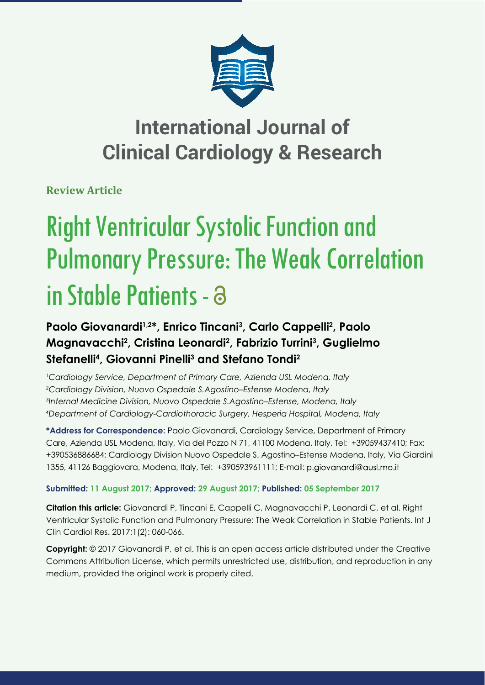

# **International Journal of Clinical Cardiology & Research**

**Review Article**

# Right Ventricular Systolic Function and Pulmonary Pressure: The Weak Correlation in Stable Patients -

## Paolo Giovanardi<sup>1,2\*</sup>, Enrico Tincani<sup>3</sup>, Carlo Cappelli<sup>2</sup>, Paolo **Magnavacchi2 , Cristina Leonardi2 , Fabrizio Turrini3 , Guglielmo Stefanelli4 , Giovanni Pinelli3 and Stefano Tondi2**

 *Cardiology Service, Department of Primary Care, Azienda USL Modena, Italy Cardiology Division, Nuovo Ospedale S.Agostino–Estense Modena, Italy Internal Medicine Division, Nuovo Ospedale S.Agostino–Estense, Modena, Italy Department of Cardiology-Cardiothoracic Surgery, Hesperia Hospital, Modena, Italy*

**\*Address for Correspondence:** Paolo Giovanardi, Cardiology Service, Department of Primary Care, Azienda USL Modena, Italy, Via del Pozzo N 71, 41100 Modena, Italy, Tel: +39059437410; Fax: +390536886684; Cardiology Division Nuovo Ospedale S. Agostino–Estense Modena, Italy, Via Giardini 1355, 41126 Baggiovara, Modena, Italy, Tel: +390593961111; E-mail:

### **Submitted: 11 August 2017; Approved: 29 August 2017; Published: 05 September 2017**

**Citation this article:** Giovanardi P, Tincani E, Cappelli C, Magnavacchi P, Leonardi C, et al. Right Ventricular Systolic Function and Pulmonary Pressure: The Weak Correlation in Stable Patients. Int J Clin Cardiol Res. 2017;1(2): 060-066.

**Copyright:** © 2017 Giovanardi P, et al. This is an open access article distributed under the Creative Commons Attribution License, which permits unrestricted use, distribution, and reproduction in any medium, provided the original work is properly cited.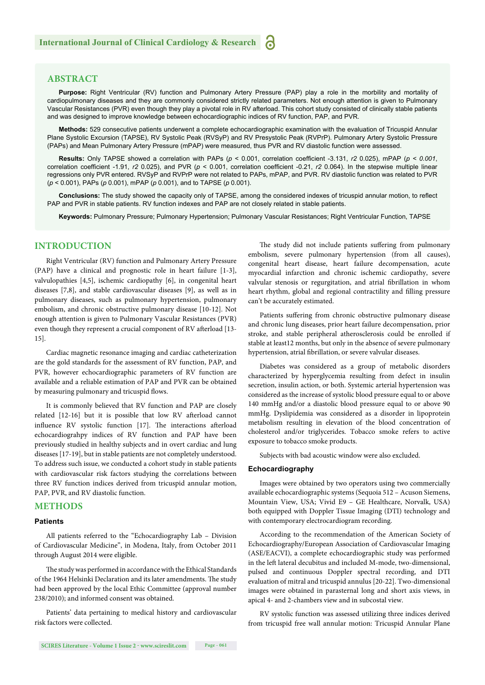#### **ABSTRACT**

**Purpose:** Right Ventricular (RV) function and Pulmonary Artery Pressure (PAP) play a role in the morbility and mortality of cardiopulmonary diseases and they are commonly considered strictly related parameters. Not enough attention is given to Pulmonary Vascular Resistances (PVR) even though they play a pivotal role in RV afterload. This cohort study consisted of clinically stable patients and was designed to improve knowledge between echocardiographic indices of RV function, PAP, and PVR.

**Methods:** 529 consecutive patients underwent a complete echocardiographic examination with the evaluation of Tricuspid Annular Plane Systolic Excursion (TAPSE), RV Systolic Peak (RVSyP) and RV Presystolic Peak (RVPrP). Pulmonary Artery Systolic Pressure (PAPs) and Mean Pulmonary Artery Pressure (mPAP) were measured, thus PVR and RV diastolic function were assessed.

**Results:** Only TAPSE showed a correlation with PAPs ( $p < 0.001$ , correlation coefficient -3.131,  $r2 0.025$ ), mPAP ( $p < 0.001$ , correlation coefficient -1.91,  $r2$  0.025), and PVR ( $p < 0.001$ , correlation coefficient -0.21,  $r2$  0.064). In the stepwise multiple linear regressions only PVR entered. RVSyP and RVPrP were not related to PAPs, mPAP, and PVR. RV diastolic function was related to PVR (*p* < 0.001), PAPs (*p* 0.001), mPAP (*p* 0.001), and to TAPSE (*p* 0.001).

Conclusions: The study showed the capacity only of TAPSE, among the considered indexes of tricuspid annular motion, to reflect PAP and PVR in stable patients. RV function indexes and PAP are not closely related in stable patients.

**Keywords:** Pulmonary Pressure; Pulmonary Hypertension; Pulmonary Vascular Resistances; Right Ventricular Function, TAPSE

#### **INTRODUCTION**

Right Ventricular (RV) function and Pulmonary Artery Pressure (PAP) have a clinical and prognostic role in heart failure [1-3], valvulopathies [4,5], ischemic cardiopathy [6], in congenital heart diseases [7,8], and stable cardiovascular diseases [9], as well as in pulmonary diseases, such as pulmonary hypertension, pulmonary embolism, and chronic obstructive pulmonary disease [10-12]. Not enough attention is given to Pulmonary Vascular Resistances (PVR) even though they represent a crucial component of RV afterload [13-15].

Cardiac magnetic resonance imaging and cardiac catheterization are the gold standards for the assessment of RV function, PAP, and PVR, however echocardiographic parameters of RV function are available and a reliable estimation of PAP and PVR can be obtained by measuring pulmonary and tricuspid flows.

It is commonly believed that RV function and PAP are closely related [12-16] but it is possible that low RV afterload cannot influence RV systolic function [17]. The interactions afterload echocardiograhpy indices of RV function and PAP have been previously studied in healthy subjects and in overt cardiac and lung diseases [17-19], but in stable patients are not completely understood. To address such issue, we conducted a cohort study in stable patients with cardiovascular risk factors studying the correlations between three RV function indices derived from tricuspid annular motion, PAP, PVR, and RV diastolic function.

#### **METHODS**

#### **Patients**

All patients referred to the "Echocardiography Lab – Division of Cardiovascular Medicine", in Modena, Italy, from October 2011 through August 2014 were eligible.

The study was performed in accordance with the Ethical Standards of the 1964 Helsinki Declaration and its later amendments. The study had been approved by the local Ethic Committee (approval number 238/2010); and informed consent was obtained.

Patients' data pertaining to medical history and cardiovascular risk factors were collected.

The study did not include patients suffering from pulmonary embolism, severe pulmonary hypertension (from all causes), congenital heart disease, heart failure decompensation, acute myocardial infarction and chronic ischemic cardiopathy, severe valvular stenosis or regurgitation, and atrial fibrillation in whom heart rhythm, global and regional contractility and filling pressure can't be accurately estimated.

Patients suffering from chronic obstructive pulmonary disease and chronic lung diseases, prior heart failure decompensation, prior stroke, and stable peripheral atherosclerosis could be enrolled if stable at least12 months, but only in the absence of severe pulmonary hypertension, atrial fibrillation, or severe valvular diseases.

Diabetes was considered as a group of metabolic disorders characterized by hyperglycemia resulting from defect in insulin secretion, insulin action, or both. Systemic arterial hypertension was considered as the increase of systolic blood pressure equal to or above 140 mmHg and/or a diastolic blood pressure equal to or above 90 mmHg. Dyslipidemia was considered as a disorder in lipoprotein metabolism resulting in elevation of the blood concentration of cholesterol and/or triglycerides. Tobacco smoke refers to active exposure to tobacco smoke products.

Subjects with bad acoustic window were also excluded.

#### **Echocardiography**

Images were obtained by two operators using two commercially available echocardiographic systems (Sequoia 512 – Acuson Siemens, Mountain View, USA; Vivid E9 – GE Healthcare, Norvalk, USA) both equipped with Doppler Tissue Imaging (DTI) technology and with contemporary electrocardiogram recording.

According to the recommendation of the American Society of Echocardiography/European Association of Cardiovascular Imaging (ASE/EACVI), a complete echocardiographic study was performed in the left lateral decubitus and included M-mode, two-dimensional, pulsed and continuous Doppler spectral recording, and DTI evaluation of mitral and tricuspid annulus [20-22]. Two-dimensional images were obtained in parasternal long and short axis views, in apical 4- and 2-chambers view and in subcostal view.

RV systolic function was assessed utilizing three indices derived from tricuspid free wall annular motion: Tricuspid Annular Plane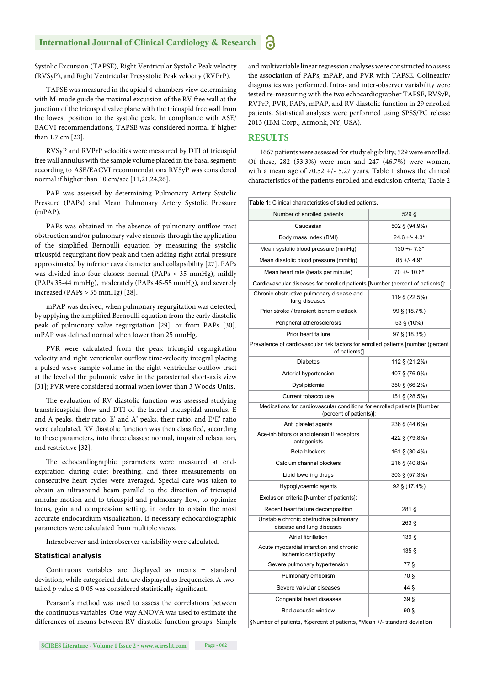Systolic Excursion (TAPSE), Right Ventricular Systolic Peak velocity (RVSyP), and Right Ventricular Presystolic Peak velocity (RVPrP).

TAPSE was measured in the apical 4-chambers view determining with M-mode guide the maximal excursion of the RV free wall at the junction of the tricuspid valve plane with the tricuspid free wall from the lowest position to the systolic peak. In compliance with ASE/ EACVI recommendations, TAPSE was considered normal if higher than 1.7 cm [23].

RVSyP and RVPrP velocities were measured by DTI of tricuspid free wall annulus with the sample volume placed in the basal segment; according to ASE/EACVI recommendations RVSyP was considered normal if higher than 10 cm/sec [11,21,24,26].

PAP was assessed by determining Pulmonary Artery Systolic Pressure (PAPs) and Mean Pulmonary Artery Systolic Pressure  $(mPAP)$ 

PAPs was obtained in the absence of pulmonary outflow tract obstruction and/or pulmonary valve stenosis through the application of the simplified Bernoulli equation by measuring the systolic tricuspid regurgitant flow peak and then adding right atrial pressure approximated by inferior cava diameter and collapsibility [27]. PAPs was divided into four classes: normal (PAPs < 35 mmHg), mildly (PAPs 35-44 mmHg), moderately (PAPs 45-55 mmHg), and severely increased (PAPs > 55 mmHg) [28].

mPAP was derived, when pulmonary regurgitation was detected, by applying the simplified Bernoulli equation from the early diastolic peak of pulmonary valve regurgitation [29], or from PAPs [30]. mPAP was defined normal when lower than 25 mmHg.

PVR were calculated from the peak tricuspid regurgitation velocity and right ventricular outflow time-velocity integral placing a pulsed wave sample volume in the right ventricular outflow tract at the level of the pulmonic valve in the parasternal short-axis view [31]; PVR were considered normal when lower than 3 Woods Units.

The evaluation of RV diastolic function was assessed studying transtricuspidal flow and DTI of the lateral tricuspidal annulus. E and A peaks, their ratio, E' and A' peaks, their ratio, and E/E' ratio were calculated. RV diastolic function was then classified, according to these parameters, into three classes: normal, impaired relaxation, and restrictive [32].

The echocardiographic parameters were measured at endexpiration during quiet breathing, and three measurements on consecutive heart cycles were averaged. Special care was taken to obtain an ultrasound beam parallel to the direction of tricuspid annular motion and to tricuspid and pulmonary flow, to optimize focus, gain and compression setting, in order to obtain the most accurate endocardium visualization. If necessary echocardiographic parameters were calculated from multiple views.

Intraobserver and interobserver variability were calculated.

#### **Statistical analysis**

Continuous variables are displayed as means ± standard deviation, while categorical data are displayed as frequencies. A twotailed  $p$  value  $\leq 0.05$  was considered statistically significant.

Pearson's method was used to assess the correlations between the continuous variables. One-way ANOVA was used to estimate the differences of means between RV diastolic function groups. Simple and multivariable linear regression analyses were constructed to assess the association of PAPs, mPAP, and PVR with TAPSE. Colinearity diagnostics was performed. Intra- and inter-observer variability were tested re-measuring with the two echocardiographer TAPSE, RVSyP, RVPrP, PVR, PAPs, mPAP, and RV diastolic function in 29 enrolled patients. Statistical analyses were performed using SPSS/PC release 2013 (IBM Corp., Armonk, NY, USA).

#### **RESULTS**

1667 patients were assessed for study eligibility; 529 were enrolled. Of these, 282 (53.3%) were men and 247 (46.7%) were women, with a mean age of 70.52 +/- 5.27 years. Table 1 shows the clinical characteristics of the patients enrolled and exclusion criteria; Table 2

| Table 1: Clinical characteristics of studied patients.                                             |                    |  |  |  |  |  |
|----------------------------------------------------------------------------------------------------|--------------------|--|--|--|--|--|
| Number of enrolled patients                                                                        | 529 <sub>5</sub>   |  |  |  |  |  |
| Caucasian                                                                                          | 502 § (94.9%)      |  |  |  |  |  |
| Body mass index (BMI)                                                                              | $24.6 + -4.3*$     |  |  |  |  |  |
| Mean systolic blood pressure (mmHg)                                                                | $130 + 7.3*$       |  |  |  |  |  |
| Mean diastolic blood pressure (mmHg)                                                               | $85 + 4.9*$        |  |  |  |  |  |
| Mean heart rate (beats per minute)                                                                 | $70 + 10.6*$       |  |  |  |  |  |
| Cardiovascular diseases for enrolled patients [Number (percent of patients)]:                      |                    |  |  |  |  |  |
| Chronic obstructive pulmonary disease and<br>lung diseases                                         | 119 § (22.5%)      |  |  |  |  |  |
| Prior stroke / transient ischemic attack                                                           | $99\$ (18.7%)      |  |  |  |  |  |
| Peripheral atherosclerosis                                                                         | 53 § (10%)         |  |  |  |  |  |
| Prior heart failure                                                                                | 97 § (18.3%)       |  |  |  |  |  |
| Prevalence of cardiovascular risk factors for enrolled patients [number (percent<br>of patients)]  |                    |  |  |  |  |  |
| <b>Diabetes</b>                                                                                    | 112 § (21.2%)      |  |  |  |  |  |
| Arterial hypertension                                                                              | 407 § (76.9%)      |  |  |  |  |  |
| Dyslipidemia                                                                                       | 350 § (66.2%)      |  |  |  |  |  |
| Current tobacco use                                                                                | 151 § (28.5%)      |  |  |  |  |  |
| Medications for cardiovascular conditions for enrolled patients [Number<br>(percent of patients)]: |                    |  |  |  |  |  |
| Anti platelet agents                                                                               | 236 § (44.6%)      |  |  |  |  |  |
| Ace-inhibitors or angiotensin II receptors<br>antagonists                                          | 422 § (79.8%)      |  |  |  |  |  |
| Beta blockers                                                                                      | 161 § (30.4%)      |  |  |  |  |  |
| Calcium channel blockers                                                                           | 216 § (40.8%)      |  |  |  |  |  |
| Lipid lowering drugs                                                                               | 303 § (57.3%)      |  |  |  |  |  |
| Hypoglycaemic agents                                                                               | 92 § (17.4%)       |  |  |  |  |  |
| Exclusion criteria [Number of patients]:                                                           |                    |  |  |  |  |  |
| Recent heart failure decomposition                                                                 | $281\,\mathrm{\S}$ |  |  |  |  |  |
| Unstable chronic obstructive pulmonary<br>disease and lung diseases                                | 263 <sub>5</sub>   |  |  |  |  |  |
| Atrial fibrillation                                                                                | 139 <sub>5</sub>   |  |  |  |  |  |
| Acute myocardial infarction and chronic<br>ischemic cardiopathy                                    | 135 <sub>5</sub>   |  |  |  |  |  |
| Severe pulmonary hypertension                                                                      | 77 §               |  |  |  |  |  |
| Pulmonary embolism                                                                                 | 70 §               |  |  |  |  |  |
| Severe valvular diseases                                                                           | $44\$              |  |  |  |  |  |
| Congenital heart diseases                                                                          | 39 §               |  |  |  |  |  |
| Bad acoustic window                                                                                | 90 <sub>§</sub>    |  |  |  |  |  |
| §Number of patients, %percent of patients, *Mean +/- standard deviation                            |                    |  |  |  |  |  |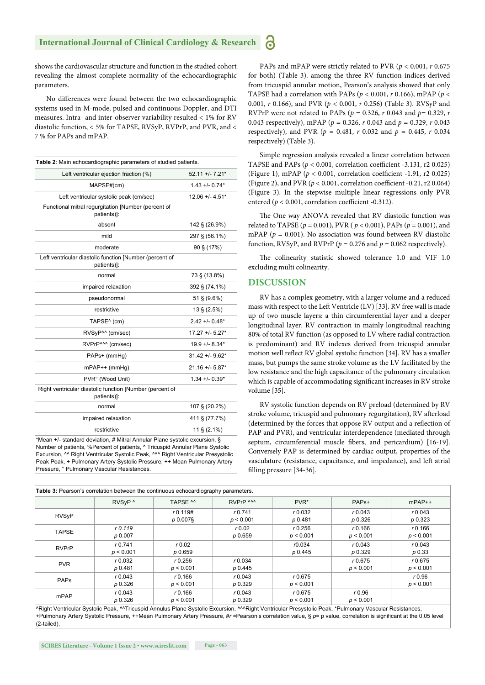shows the cardiovascular structure and function in the studied cohort revealing the almost complete normality of the echocardiographic parameters.

No differences were found between the two echocardiographic systems used in M-mode, pulsed and continuous Doppler, and DTI measures. Intra- and inter-observer variability resulted < 1% for RV diastolic function, < 5% for TAPSE, RVSyP, RVPrP, and PVR, and < 7 % for PAPs and mPAP.

| Table 2: Main echocardiographic parameters of studied patients.         |                       |  |  |  |  |
|-------------------------------------------------------------------------|-----------------------|--|--|--|--|
| Left ventricular ejection fraction (%)                                  | $52.11 + 7.21*$       |  |  |  |  |
| MAPSE#(cm)                                                              | $1.43 + - 0.74*$      |  |  |  |  |
| Left ventricular systolic peak (cm/sec)                                 | $12.06 + - 4.51*$     |  |  |  |  |
| Functional mitral requrgitation [Number (percent of<br>patients)]:      |                       |  |  |  |  |
| absent                                                                  | 142 § (26.9%)         |  |  |  |  |
| mild                                                                    | 297 § (56.1%)         |  |  |  |  |
| moderate                                                                | 90 § (17%)            |  |  |  |  |
| Left ventricular diastolic function [Number (percent of<br>patients)]:  |                       |  |  |  |  |
| normal                                                                  | 73 § (13.8%)          |  |  |  |  |
| impaired relaxation                                                     | 392 § (74.1%)         |  |  |  |  |
| pseudonormal                                                            | $51 \text{ } (9.6\%)$ |  |  |  |  |
| restrictive                                                             | $13 \text{ } (2.5\%)$ |  |  |  |  |
| TAPSE <sup>^</sup> (cm)                                                 | $2.42 + - 0.48*$      |  |  |  |  |
| RVSyP <sup>^^</sup> (cm/sec)                                            | 17.27 +/- 5.27*       |  |  |  |  |
| RVPrP^^^ (cm/sec)                                                       | 19.9 +/- 8.34*        |  |  |  |  |
| PAPs+ (mmHg)                                                            | 31.42 +/- 9.62*       |  |  |  |  |
| $mPAP++(mmHq)$                                                          | 21.16 +/- 5.87*       |  |  |  |  |
| PVR° (Wood Unit)                                                        | $1.34 + - 0.39*$      |  |  |  |  |
| Right ventricular diastolic function [Number (percent of<br>patients)]: |                       |  |  |  |  |
| normal                                                                  | 107 § (20.2%)         |  |  |  |  |
| impaired relaxation                                                     | 411 § (77.7%)         |  |  |  |  |
| restrictive                                                             | 11 $\S$ (2.1%)        |  |  |  |  |
| *Neon U standard doviation # Mitrol Annular Dlana quetalis quauraian    |                       |  |  |  |  |

\*Mean +/- standard deviation, # Mitral Annular Plane systolic excursion, § Number of patients, %Percent of patients, ^ Tricuspid Annular Plane Systolic Excursion, ^^ Right Ventricular Systolic Peak, ^^^ Right Ventricular Presystolic Peak Peak, + Pulmonary Artery Systolic Pressure, ++ Mean Pulmonary Artery Pressure, ° Pulmonary Vascular Resistances.

PAPs and mPAP were strictly related to PVR (*p* < 0.001, *r* 0.675 for both) (Table 3). among the three RV function indices derived from tricuspid annular motion, Pearson's analysis showed that only TAPSE had a correlation with PAPs (*p* < 0.001, *r* 0.166), mPAP (*p* < 0.001, *r* 0.166), and PVR (*p* < 0.001, *r* 0.256) (Table 3). RVSyP and RVPrP were not related to PAPs (*p* = 0.326, *r* 0.043 and *p*= 0.329, *r* 0.043 respectively), mPAP (*p* = 0.326, *r* 0.043 and *p* = 0.329, *r* 0.043 respectively), and PVR ( $p = 0.481$ ,  $r = 0.032$  and  $p = 0.445$ ,  $r = 0.034$ respectively) (Table 3).

Simple regression analysis revealed a linear correlation between TAPSE and PAPs ( $p < 0.001$ , correlation coefficient -3.131, r2 0.025) (Figure 1), mPAP ( $p < 0.001$ , correlation coefficient -1.91, r2 0.025) (Figure 2), and PVR ( $p < 0.001$ , correlation coefficient -0.21, r2 0.064) (Figure 3). In the stepwise multiple linear regressions only PVR entered ( $p < 0.001$ , correlation coefficient -0.312).

The One way ANOVA revealed that RV diastolic function was related to TAPSE (*p* = 0.001), PVR ( *p* < 0.001), PAPs (*p* = 0.001), and mPAP ( $p = 0.001$ ). No association was found between RV diastolic function, RVSyP, and RVPrP ( $p = 0.276$  and  $p = 0.062$  respectively).

The colinearity statistic showed tolerance 1.0 and VIF 1.0 excluding multi colinearity.

#### **DISCUSSION**

RV has a complex geometry, with a larger volume and a reduced mass with respect to the Left Ventricle (LV) [33]. RV free wall is made up of two muscle layers: a thin circumferential layer and a deeper longitudinal layer. RV contraction in mainly longitudinal reaching 80% of total RV function (as opposed to LV where radial contraction is predominant) and RV indexes derived from tricuspid annular motion well reflect RV global systolic function [34]. RV has a smaller mass, but pumps the same stroke volume as the LV facilitated by the low resistance and the high capacitance of the pulmonary circulation which is capable of accommodating significant increases in RV stroke volume [35].

RV systolic function depends on RV preload (determined by RV stroke volume, tricuspid and pulmonary regurgitation), RV afterload (determined by the forces that oppose RV output and a reflection of PAP and PVR), and ventricular interdependence (mediated through septum, circumferential muscle fibers, and pericardium) [16-19]. Conversely PAP is determined by cardiac output, properties of the vasculature (resistance, capacitance, and impedance), and left atrial filling pressure [34-36].

| Table 3: Pearson's correlation between the continuous echocardiography parameters. |                        |                         |                      |                        |                        |                        |  |
|------------------------------------------------------------------------------------|------------------------|-------------------------|----------------------|------------------------|------------------------|------------------------|--|
|                                                                                    | RVSyP <sup>^</sup>     | TAPSE <sup>M</sup>      | RVPrP ^^^            | PVR <sup>*</sup>       | PAP <sub>S</sub> +     | $mPAP++$               |  |
| <b>RVS<sub>V</sub>P</b>                                                            |                        | r 0.119#<br>$p 0.007$ § | r 0.741<br>p < 0.001 | r 0.032<br>p 0.481     | r 0.043<br>p 0.326     | r 0.043<br>$p_{0.323}$ |  |
| <b>TAPSE</b>                                                                       | r 0.119<br>$p_{0.007}$ |                         | r0.02<br>p 0.659     | $r$ 0.256<br>p < 0.001 | $r$ 0.166<br>p < 0.001 | r 0.166<br>p < 0.001   |  |
| <b>RVPrP</b>                                                                       | r 0.741<br>p < 0.001   | r0.02<br>p 0.659        |                      | r0.034<br>p 0.445      | r 0.043<br>p 0.329     | r 0.043<br>$p_{0.33}$  |  |
| <b>PVR</b>                                                                         | r 0.032<br>p 0.481     | $r$ 0.256<br>p < 0.001  | r 0.034<br>p 0.445   |                        | r0.675<br>p < 0.001    | r0.675<br>p < 0.001    |  |
| <b>PAPs</b>                                                                        | r 0.043<br>p 0.326     | r 0.166<br>p < 0.001    | r0.043<br>p 0.329    | r0.675<br>p < 0.001    |                        | r0.96<br>p < 0.001     |  |
| mPAP                                                                               | r 0.043<br>p 0.326     | r 0.166<br>p < 0.001    | r0.043<br>p 0.329    | r0.675<br>p < 0.001    | r0.96<br>p < 0.001     |                        |  |

^Right Ventricular Systolic Peak, ^^Tricuspid Annulus Plane Systolic Excursion, ^^^Right Ventricular Presystolic Peak, \*Pulmonary Vascular Resistances, +Pulmonary Artery Systolic Pressure, ++Mean Pulmonary Artery Pressure, #r =Pearson's correlation value, § p= p value, correlation is significant at the 0.05 level (2-tailed).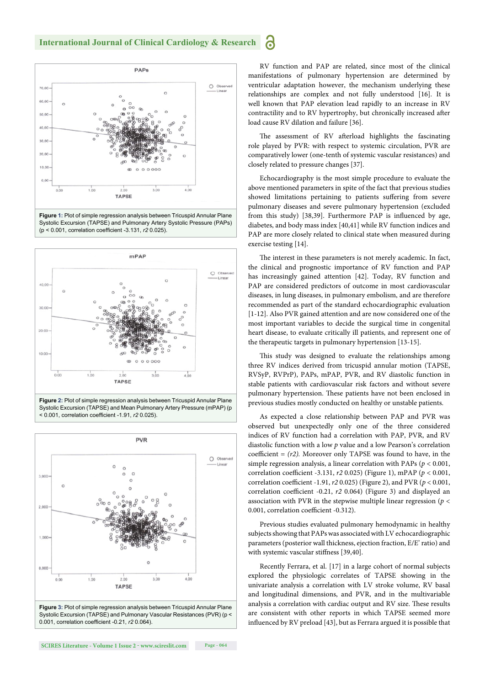





**Figure 2:** Plot of simple regression analysis between Tricuspid Annular Plane Systolic Excursion (TAPSE) and Mean Pulmonary Artery Pressure (mPAP) (p < 0.001, correlation coefficient -1.91,  $r2$  0.025)



Systolic Excursion (TAPSE) and Pulmonary Vascular Resistances (PVR) (p < 0.001, correlation coefficient -0.21,  $r20.064$ ).

RV function and PAP are related, since most of the clinical manifestations of pulmonary hypertension are determined by ventricular adaptation however, the mechanism underlying these relationships are complex and not fully understood [16]. It is well known that PAP elevation lead rapidly to an increase in RV contractility and to RV hypertrophy, but chronically increased after load cause RV dilation and failure [36].

6

The assessment of RV afterload highlights the fascinating role played by PVR: with respect to systemic circulation, PVR are comparatively lower (one-tenth of systemic vascular resistances) and closely related to pressure changes [37].

Echocardiography is the most simple procedure to evaluate the above mentioned parameters in spite of the fact that previous studies showed limitations pertaining to patients suffering from severe pulmonary diseases and severe pulmonary hypertension (excluded from this study) [38,39]. Furthermore PAP is influenced by age, diabetes, and body mass index [40,41] while RV function indices and PAP are more closely related to clinical state when measured during exercise testing [14].

The interest in these parameters is not merely academic. In fact, the clinical and prognostic importance of RV function and PAP has increasingly gained attention [42]. Today, RV function and PAP are considered predictors of outcome in most cardiovascular diseases, in lung diseases, in pulmonary embolism, and are therefore recommended as part of the standard echocardiographic evaluation [1-12]. Also PVR gained attention and are now considered one of the most important variables to decide the surgical time in congenital heart disease, to evaluate critically ill patients, and represent one of the therapeutic targets in pulmonary hypertension [13-15].

This study was designed to evaluate the relationships among three RV indices derived from tricuspid annular motion (TAPSE, RVSyP, RVPrP), PAPs, mPAP, PVR, and RV diastolic function in stable patients with cardiovascular risk factors and without severe pulmonary hypertension. These patients have not been enclosed in previous studies mostly conducted on healthy or unstable patients.

As expected a close relationship between PAP and PVR was observed but unexpectedly only one of the three considered indices of RV function had a correlation with PAP, PVR, and RV diastolic function with a low *p* value and a low Pearson's correlation coefficient =  $(r2)$ . Moreover only TAPSE was found to have, in the simple regression analysis, a linear correlation with PAPs (*p* < 0.001, correlation coefficient -3.131, *r2* 0.025) (Figure 1), mPAP ( $p < 0.001$ , correlation coefficient -1.91, *r2* 0.025) (Figure 2), and PVR ( $p$  < 0.001, correlation coefficient -0.21,  $r2$  0.064) (Figure 3) and displayed an association with PVR in the stepwise multiple linear regression (*p* < 0.001, correlation coefficient -0.312).

Previous studies evaluated pulmonary hemodynamic in healthy subjects showing that PAPs was associated with LV echocardiographic parameters (posterior wall thickness, ejection fraction, E/E' ratio) and with systemic vascular stiffness [39,40].

Recently Ferrara, et al. [17] in a large cohort of normal subjects explored the physiologic correlates of TAPSE showing in the univariate analysis a correlation with LV stroke volume, RV basal and longitudinal dimensions, and PVR, and in the multivariable analysis a correlation with cardiac output and RV size. These results are consistent with other reports in which TAPSE seemed more influenced by RV preload [43], but as Ferrara argued it is possible that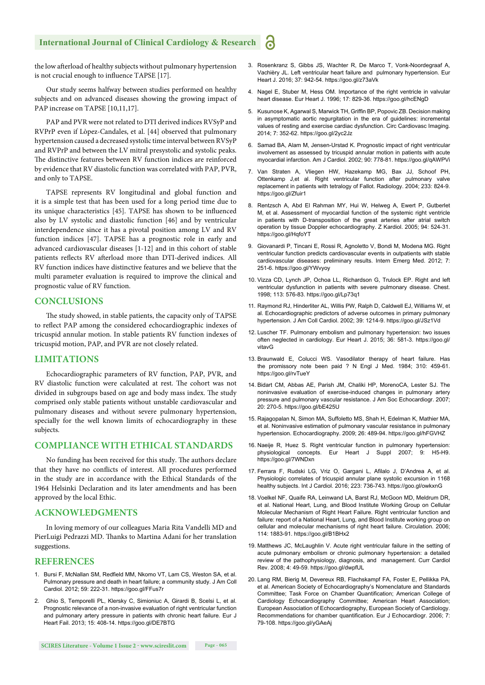#### **International Journal of Clinical Cardiology & Research**

the low afterload of healthy subjects without pulmonary hypertension is not crucial enough to influence TAPSE [17].

Our study seems halfway between studies performed on healthy subjects and on advanced diseases showing the growing impact of PAP increase on TAPSE [10,11,17].

PAP and PVR were not related to DTI derived indices RVSyP and RVPrP even if Lòpez-Candales, et al. [44] observed that pulmonary hypertension caused a decreased systolic time interval between RVSyP and RVPrP and between the LV mitral presystolic and systolic peaks. The distinctive features between RV function indices are reinforced by evidence that RV diastolic function was correlated with PAP, PVR, and only to TAPSE.

TAPSE represents RV longitudinal and global function and it is a simple test that has been used for a long period time due to its unique characteristics [45]. TAPSE has shown to be influenced also by LV systolic and diastolic function [46] and by ventricular interdependence since it has a pivotal position among LV and RV function indices [47]. TAPSE has a prognostic role in early and advanced cardiovascular diseases [1-12] and in this cohort of stable patients reflects RV afterload more than DTI-derived indices. All RV function indices have distinctive features and we believe that the multi parameter evaluation is required to improve the clinical and prognostic value of RV function.

#### **CONCLUSIONS**

The study showed, in stable patients, the capacity only of TAPSE to reflect PAP among the considered echocardiographic indexes of tricuspid annular motion. In stable patients RV function indexes of tricuspid motion, PAP, and PVR are not closely related.

#### **LIMITATIONS**

Echocardiographic parameters of RV function, PAP, PVR, and RV diastolic function were calculated at rest. The cohort was not divided in subgroups based on age and body mass index. The study comprised only stable patients without unstable cardiovascular and pulmonary diseases and without severe pulmonary hypertension, specially for the well known limits of echocardiography in these subjects.

#### **COMPLIANCE WITH ETHICAL STANDARDS**

No funding has been received for this study. The authors declare that they have no conflicts of interest. All procedures performed in the study are in accordance with the Ethical Standards of the 1964 Helsinki Declaration and its later amendments and has been approved by the local Ethic.

#### **ACKNOWLEDGMENTS**

In loving memory of our colleagues Maria Rita Vandelli MD and PierLuigi Pedrazzi MD. Thanks to Martina Adani for her translation suggestions.

#### **REFERENCES**

- 1. Bursi F, McNallan SM, Redfield MM, Nkomo VT, Lam CS, Weston SA, et al. Pulmonary pressure and death in heart failure; a community study. J Am Coll Cardiol. 2012; 59: 222-31. https://goo.gl/FFus7r
- 2. Ghio S, Temporelli PL, Klersky C, Simioniuc A, Girardi B, Scelsi L, et al. Prognostic relevance of a non-invasive evaluation of right ventricular function and pulmonary artery pressure in patients with chronic heart failure. Eur J Heart Fail. 2013; 15: 408-14. https://goo.gl/DE7BTG
- 3. Rosenkranz S, Gibbs JS, Wachter R, De Marco T, Vonk-Noordegraaf A, Vachièry JL. Left ventricular heart failure and pulmonary hypertension. Eur Heart J. 2016; 37: 942-54. https://goo.gl/z73aVk
- 4. Nagel E, Stuber M, Hess OM. Importance of the right ventricle in valvular heart disease. Eur Heart J. 1996; 17: 829-36. https://goo.gl/hcENgD
- 5. Kusunose K, Agarwal S, Marwick TH, Griffin BP, Popovic ZB. Decision making in asymptomatic aortic regurgitation in the era of guidelines: incremental values of resting and exercise cardiac dysfunction. Circ Cardiovasc Imaging. 2014; 7: 352-62. https://goo.gl/2yc2Jz
- 6. Samad BA, Alam M, Jensen-Urstad K. Prognostic impact of right ventricular involvement as assessed by tricuspid annular motion in patients with acute myocardial infarction. Am J Cardiol. 2002; 90: 778-81. https://goo.gl/qAWPVi
- 7. Van Straten A, Vliegen HW, Hazekamp MG, Bax JJ, Schoof PH, Ottenkamp J,et al. Right ventricular function after pulmonary valve replacement in patients with tetralogy of Fallot. Radiology. 2004; 233: 824-9. https://goo.gl/Zfuir1
- 8. Rentzsch A, Abd El Rahman MY, Hui W, Helweg A, Ewert P, Gutberlet M, et al. Assessment of myocardial function of the systemic right ventricle in patients with D-transposition of the great arteries after atrial switch operation by tissue Doppler echocardiography. Z Kardiol. 2005; 94: 524-31. https://goo.gl/HqfoYT
- 9. Giovanardi P, Tincani E, Rossi R, Agnoletto V, Bondi M, Modena MG. Right ventricular function predicts cardiovascular events in outpatients with stable cardiovascular diseases: preliminary results. Intern Emerg Med. 2012; 7: 251-6. https://goo.gl/YWvyoy
- 10. Vizza CD, Lynch JP, Ochoa LL, Richardson G, Trulock EP. Right and left ventricular dysfunction in patients with severe pulmonary disease. Chest. 1998; 113: 576-83. https://goo.gl/Lp73q1
- 11. Raymond RJ, Hinderliter AL, Willis PW, Ralph D, Caldwell EJ, Williams W, et al. Echocardiographic predictors of adverse outcomes in primary pulmonary hypertension. J Am Coll Cardiol. 2002; 39: 1214-9. https://goo.gl/JSz1Vd
- 12. Luscher TF. Pulmonary embolism and pulmonary hypertension: two issues often neglected in cardiology. Eur Heart J. 2015; 36: 581-3. https://goo.gl/ vitavG
- 13. Braunwald E, Colucci WS. Vasodilator therapy of heart failure. Has the promissory note been paid ? N Engl J Med. 1984; 310: 459-61. https://goo.gl/rvTueY
- 14. Bidart CM, Abbas AE, Parish JM, Chaliki HP, MorenoCA, Lester SJ. The noninvasive evaluation of exercise-induced changes in pulmonary artery pressure and pulmonary vascular resistance. J Am Soc Echocardiogr. 2007; 20: 270-5. https://goo.gl/bE425U
- 15. Rajagopalan N, Simon MA, Suffoletto MS, Shah H, Edelman K, Mathier MA, et al. Noninvasive estimation of pulmonary vascular resistance in pulmonary hypertension. Echocardiography. 2009; 26: 489-94. https://goo.gl/hFGVHZ
- 16. Naeije R, Huez S. Right ventricular function in pulmonary hypertension: physiological concepts. Eur Heart J Suppl 2007; 9: H5-H9. https://goo.gl/7WNDxn
- 17. Ferrara F, Rudski LG, Vriz O, Gargani L, Afilalo J, D'Andrea A, et al. Physiologic correlates of tricuspid annular plane systolic excursion in 1168 healthy subjects. Int J Cardiol. 2016; 223: 736-743. https://goo.gl/owkxnG
- 18. Voelkel NF, Quaife RA, Leinwand LA, Barst RJ, McGoon MD, Meldrum DR, et al. National Heart, Lung, and Blood Institute Working Group on Cellular Molecular Mechanism of Right Heart Failure. Right ventricular function and failure: report of a National Heart, Lung, and Blood Institute working group on cellular and molecular mechanisms of right heart failure. Circulation. 2006; 114: 1883-91. https://goo.gl/B1BHx2
- 19. Matthews JC, McLaughlin V. Acute right ventricular failure in the setting of acute pulmonary embolism or chronic pulmonary hypertension: a detailed review of the pathophysiology, diagnosis, and management. Curr Cardiol Rev. 2008; 4: 49-59. https://goo.gl/dwpfUL
- 20. Lang RM, Bierig M, Devereux RB, Flachskampf FA, Foster E, Pellikka PA, et al. American Society of Echocardiography's Nomenclature and Standards Committee; Task Force on Chamber Quantification; American College of Cardiology Echocardiography Committee; American Heart Association; European Association of Echocardiography, European Society of Cardiology. Recommendations for chamber quantification. Eur J Echocardiogr. 2006; 7: 79-108. https://goo.gl/yGAeAj